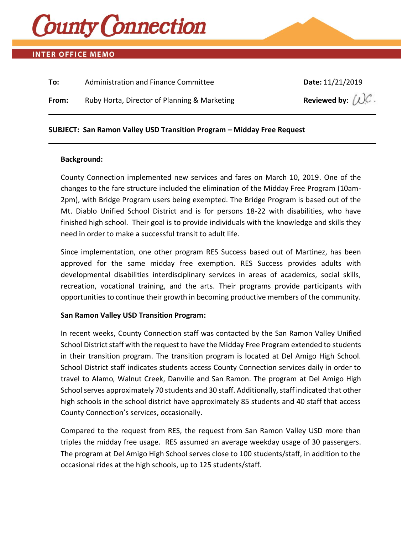

# **INTER OFFICE MEMO**

| To:   | Administration and Finance Committee         | Date: 11/21/2019                          |
|-------|----------------------------------------------|-------------------------------------------|
| From: | Ruby Horta, Director of Planning & Marketing | Reviewed by: $(\mathcal{L})\mathcal{C}$ . |
|       |                                              |                                           |

### **SUBJECT: San Ramon Valley USD Transition Program – Midday Free Request**

#### **Background:**

County Connection implemented new services and fares on March 10, 2019. One of the changes to the fare structure included the elimination of the Midday Free Program (10am-2pm), with Bridge Program users being exempted. The Bridge Program is based out of the Mt. Diablo Unified School District and is for persons 18-22 with disabilities, who have finished high school. Their goal is to provide individuals with the knowledge and skills they need in order to make a successful transit to adult life.

Since implementation, one other program RES Success based out of Martinez, has been approved for the same midday free exemption. RES Success provides adults with developmental disabilities interdisciplinary services in areas of academics, social skills, recreation, vocational training, and the arts. Their programs provide participants with opportunities to continue their growth in becoming productive members of the community.

#### **San Ramon Valley USD Transition Program:**

In recent weeks, County Connection staff was contacted by the San Ramon Valley Unified School District staff with the request to have the Midday Free Program extended to students in their transition program. The transition program is located at Del Amigo High School. School District staff indicates students access County Connection services daily in order to travel to Alamo, Walnut Creek, Danville and San Ramon. The program at Del Amigo High School serves approximately 70 students and 30 staff. Additionally, staff indicated that other high schools in the school district have approximately 85 students and 40 staff that access County Connection's services, occasionally.

Compared to the request from RES, the request from San Ramon Valley USD more than triples the midday free usage. RES assumed an average weekday usage of 30 passengers. The program at Del Amigo High School serves close to 100 students/staff, in addition to the occasional rides at the high schools, up to 125 students/staff.